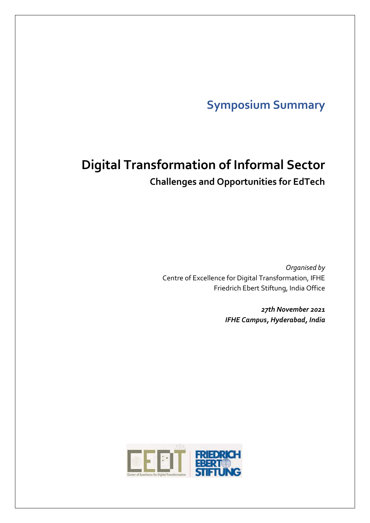# **Symposium Summary**

# **Digital Transformation of Informal Sector Challenges and Opportunities for EdTech**

*Organised by*  Centre of Excellence for Digital Transformation, IFHE Friedrich Ebert Stiftung, India Office

> *27th November 2021 IFHE Campus, Hyderabad, India*

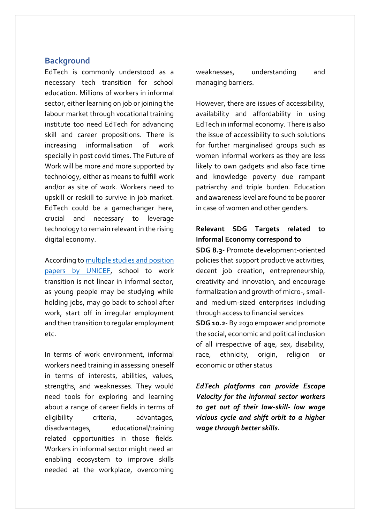## **Background**

EdTech is commonly understood as a necessary tech transition for school education. Millions of workers in informal sector, either learning on job or joining the labour market through vocational training institute too need EdTech for advancing skill and career propositions. There is increasing informalisation of work specially in post covid times. The Future of Work will be more and more supported by technology, either as means to fulfill work and/or as site of work. Workers need to upskill or reskill to survive in job market. EdTech could be a gamechanger here, crucial and necessary to leverage technology to remain relevant in the rising digital economy.

According to [multiple studies and position](https://www.unicef.org/media/60366/file/Transitions-from-school-to-work-2019.pdf)  [papers by UNICEF,](https://www.unicef.org/media/60366/file/Transitions-from-school-to-work-2019.pdf) school to work transition is not linear in informal sector, as young people may be studying while holding jobs, may go back to school after work, start off in irregular employment and then transition to regular employment etc.

In terms of work environment, informal workers need training in assessing oneself in terms of interests, abilities, values, strengths, and weaknesses. They would need tools for exploring and learning about a range of career fields in terms of eligibility criteria, advantages, disadvantages, educational/training related opportunities in those fields. Workers in informal sector might need an enabling ecosystem to improve skills needed at the workplace, overcoming

weaknesses, understanding and managing barriers.

However, there are issues of accessibility, availability and affordability in using EdTech in informal economy. There is also the issue of accessibility to such solutions for further marginalised groups such as women informal workers as they are less likely to own gadgets and also face time and knowledge poverty due rampant patriarchy and triple burden. Education and awareness level are found to be poorer in case of women and other genders.

## **Relevant SDG Targets related to Informal Economy correspond to**

**SDG 8.3**- Promote development-oriented policies that support productive activities, decent job creation, entrepreneurship, creativity and innovation, and encourage formalization and growth of micro-, smalland medium-sized enterprises including through access to financial services

**SDG 10.2**- By 2030 empower and promote the social, economic and political inclusion of all irrespective of age, sex, disability, race, ethnicity, origin, religion or economic or other status

*EdTech platforms can provide Escape Velocity for the informal sector workers to get out of their low-skill- low wage vicious cycle and shift orbit to a higher wage through better skills.*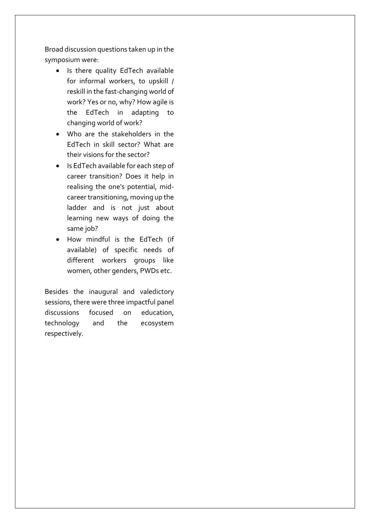Broad discussion questions taken up in the symposium were:

- Is there quality EdTech available for informal workers, to upskill / reskill in the fast-changing world of work? Yes or no, why? How agile is the EdTech in adapting to changing world of work?
- Who are the stakeholders in the EdTech in skill sector? What are their visions for the sector?
- Is EdTech available for each step of career transition? Does it help in realising the one's potential, midcareer transitioning, moving up the ladder and is not just about learning new ways of doing the same job?
- How mindful is the EdTech (if available) of specific needs of different workers groups like women, other genders, PWDs etc.

Besides the inaugural and valedictory sessions, there were three impactful panel discussions focused on education, technology and the ecosystem respectively.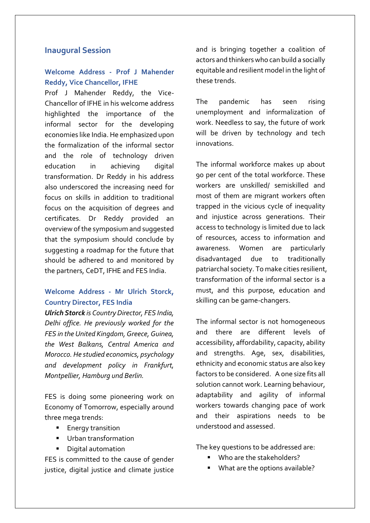## **Inaugural Session**

# **Welcome Address - Prof J Mahender Reddy, Vice Chancellor, IFHE**

Prof J Mahender Reddy, the Vice-Chancellor of IFHE in his welcome address highlighted the importance of the informal sector for the developing economies like India. He emphasized upon the formalization of the informal sector and the role of technology driven education in achieving digital transformation. Dr Reddy in his address also underscored the increasing need for focus on skills in addition to traditional focus on the acquisition of degrees and certificates. Dr Reddy provided an overview of the symposium and suggested that the symposium should conclude by suggesting a roadmap for the future that should be adhered to and monitored by the partners, CeDT, IFHE and FES India.

## **Welcome Address - Mr Ulrich Storck, Country Director, FES India**

*Ulrich Storck is Country Director, FES India, Delhi office. He previously worked for the FES in the United Kingdom, Greece, Guinea, the West Balkans, Central America and Morocco. He studied economics, psychology and development policy in Frankfurt, Montpellier, Hamburg und Berlin.*

FES is doing some pioneering work on Economy of Tomorrow, especially around three mega trends:

- Energy transition
- Urban transformation
- Digital automation

FES is committed to the cause of gender justice, digital justice and climate justice

and is bringing together a coalition of actors and thinkers who can build a socially equitable and resilient model in the light of these trends.

The pandemic has seen rising unemployment and informalization of work. Needless to say, the future of work will be driven by technology and tech innovations.

The informal workforce makes up about 90 per cent of the total workforce. These workers are unskilled/ semiskilled and most of them are migrant workers often trapped in the vicious cycle of inequality and injustice across generations. Their access to technology is limited due to lack of resources, access to information and awareness. Women are particularly disadvantaged due to traditionally patriarchal society. To make cities resilient, transformation of the informal sector is a must, and this purpose, education and skilling can be game-changers.

The informal sector is not homogeneous and there are different levels of accessibility, affordability, capacity, ability and strengths. Age, sex, disabilities, ethnicity and economic status are also key factors to be considered. A one size fits all solution cannot work. Learning behaviour, adaptability and agility of informal workers towards changing pace of work and their aspirations needs to be understood and assessed.

The key questions to be addressed are:

- Who are the stakeholders?
- What are the options available?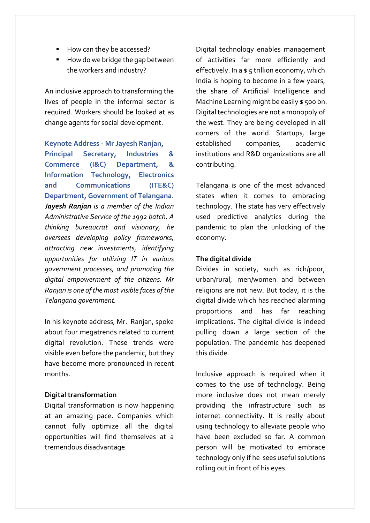- How can they be accessed?
- How do we bridge the gap between the workers and industry?

An inclusive approach to transforming the lives of people in the informal sector is required. Workers should be looked at as change agents for social development.

#### **Keynote Address - Mr Jayesh Ranjan,**

**Principal Secretary, Industries & Commerce (I&C) Department, & Information Technology, Electronics and Communications (ITE&C) Department, Government of Telangana.**  *Jayesh Ranjan is a member of the Indian Administrative Service of the 1992 batch. A thinking bureaucrat and visionary, he oversees developing policy frameworks, attracting new investments, identifying opportunities for utilizing IT in various government processes, and promoting the digital empowerment of the citizens. Mr Ranjan is one of the most visible faces of the Telangana government.*

In his keynote address, Mr. Ranjan, spoke about four megatrends related to current digital revolution. These trends were visible even before the pandemic, but they have become more pronounced in recent months.

#### **Digital transformation**

Digital transformation is now happening at an amazing pace. Companies which cannot fully optimize all the digital opportunities will find themselves at a tremendous disadvantage.

Digital technology enables management of activities far more efficiently and effectively. In a \$ 5 trillion economy, which India is hoping to become in a few years, the share of Artificial Intelligence and Machine Learning might be easily \$500 bn. Digital technologies are not a monopoly of the west. They are being developed in all corners of the world. Startups, large established companies, academic institutions and R&D organizations are all contributing.

Telangana is one of the most advanced states when it comes to embracing technology. The state has very effectively used predictive analytics during the pandemic to plan the unlocking of the economy.

## **The digital divide**

Divides in society, such as rich/poor, urban/rural, men/women and between religions are not new. But today, it is the digital divide which has reached alarming proportions and has far reaching implications. The digital divide is indeed pulling down a large section of the population. The pandemic has deepened this divide.

Inclusive approach is required when it comes to the use of technology. Being more inclusive does not mean merely providing the infrastructure such as internet connectivity. It is really about using technology to alleviate people who have been excluded so far. A common person will be motivated to embrace technology only if he sees useful solutions rolling out in front of his eyes.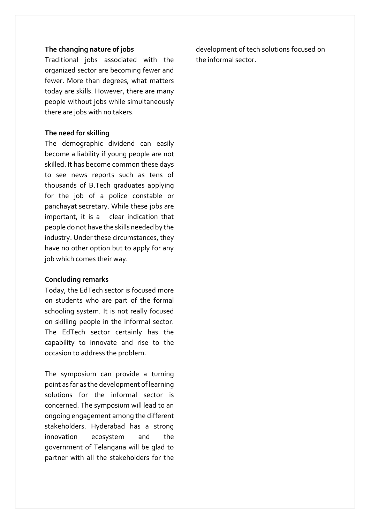## **The changing nature of jobs**

Traditional jobs associated with the organized sector are becoming fewer and fewer. More than degrees, what matters today are skills. However, there are many people without jobs while simultaneously there are jobs with no takers.

## **The need for skilling**

The demographic dividend can easily become a liability if young people are not skilled. It has become common these days to see news reports such as tens of thousands of B.Tech graduates applying for the job of a police constable or panchayat secretary. While these jobs are important, it is a clear indication that people do not have the skills needed by the industry. Under these circumstances, they have no other option but to apply for any job which comes their way.

#### **Concluding remarks**

Today, the EdTech sector is focused more on students who are part of the formal schooling system. It is not really focused on skilling people in the informal sector. The EdTech sector certainly has the capability to innovate and rise to the occasion to address the problem.

The symposium can provide a turning point as far as the development of learning solutions for the informal sector is concerned. The symposium will lead to an ongoing engagement among the different stakeholders. Hyderabad has a strong innovation ecosystem and the government of Telangana will be glad to partner with all the stakeholders for the

development of tech solutions focused on the informal sector.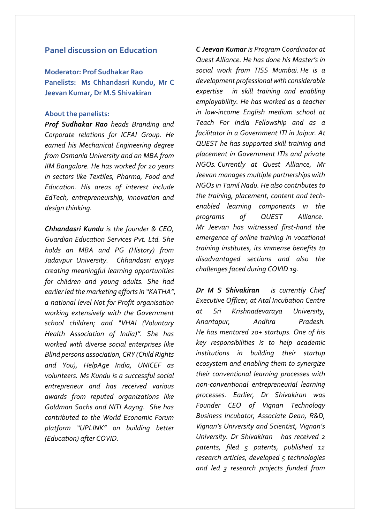## **Panel discussion on Education**

**Moderator: Prof Sudhakar Rao Panelists: Ms Chhandasri Kundu, Mr C Jeevan Kumar, Dr M.S Shivakiran**

#### **About the panelists:**

*Prof Sudhakar Rao heads Branding and Corporate relations for ICFAI Group. He earned his Mechanical Engineering degree from Osmania University and an MBA from IIM Bangalore. He has worked for 20 years in sectors like Textiles, Pharma, Food and Education. His areas of interest include EdTech, entrepreneurship, innovation and design thinking.*

*Chhandasri Kundu is the founder & CEO, Guardian Education Services Pvt. Ltd. She holds an MBA and PG (History) from Jadavpur University. Chhandasri enjoys creating meaningful learning opportunities for children and young adults. She had earlier led the marketing efforts in "KATHA", a national level Not for Profit organisation working extensively with the Government school children; and "VHAI (Voluntary Health Association of India)". She has worked with diverse social enterprises like Blind persons association, CRY (Child Rights and You), HelpAge India, UNICEF as volunteers. Ms Kundu is a successful social entrepreneur and has received various awards from reputed organizations like Goldman Sachs and NITI Aayog. She has contributed to the World Economic Forum platform "UPLINK" on building better (Education) after COVID.*

*C Jeevan Kumar is Program Coordinator at Quest Alliance. He has done his Master's in social work from TISS Mumbai. He is a development professional with considerable expertise in skill training and enabling employability. He has worked as a teacher in low-income English medium school at Teach For India Fellowship and as a facilitator in a Government ITI in Jaipur. At QUEST he has supported skill training and placement in Government ITIs and private NGOs. Currently at Quest Alliance, Mr Jeevan manages multiple partnerships with NGOs in Tamil Nadu. He also contributes to the training, placement, content and techenabled learning components in the programs of QUEST Alliance. Mr Jeevan has witnessed first-hand the emergence of online training in vocational training institutes, its immense benefits to disadvantaged sections and also the challenges faced during COVID 19.*

*Dr M S Shivakiran is currently Chief Executive Officer, at Atal Incubation Centre at Sri Krishnadevaraya University, Anantapur, Andhra Pradesh. He has mentored 20+ startups. One of his key responsibilities is to help academic institutions in building their startup ecosystem and enabling them to synergize their conventional learning processes with non-conventional entrepreneurial learning processes. Earlier, Dr Shivakiran was Founder CEO of Vignan Technology Business Incubator, Associate Dean, R&D, Vignan's University and Scientist, Vignan's University. Dr Shivakiran has received 2 patents, filed 5 patents, published 12 research articles, developed 5 technologies and led 3 research projects funded from*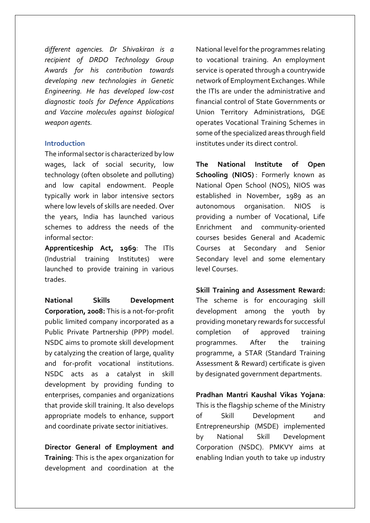*different agencies. Dr Shivakiran is a recipient of DRDO Technology Group Awards for his contribution towards developing new technologies in Genetic Engineering. He has developed low-cost diagnostic tools for Defence Applications and Vaccine molecules against biological weapon agents.* 

#### **Introduction**

The informal sector is characterized by low wages, lack of social security, low technology (often obsolete and polluting) and low capital endowment. People typically work in labor intensive sectors where low levels of skills are needed. Over the years, India has launched various schemes to address the needs of the informal sector:

**Apprenticeship Act, 1969**: The ITIs (Industrial training Institutes) were launched to provide training in various trades.

**National Skills Development Corporation, 2008:** This is a not-for-profit public limited company incorporated as a Public Private Partnership (PPP) model. NSDC aims to promote skill development by catalyzing the creation of large, quality and for-profit vocational institutions. NSDC acts as a catalyst in skill development by providing funding to enterprises, companies and organizations that provide skill training. It also develops appropriate models to enhance, support and coordinate private sector initiatives.

**Director General of Employment and Training**: This is the apex organization for development and coordination at the

National level for the programmes relating to vocational training. An employment service is operated through a countrywide network of Employment Exchanges. While the ITIs are under the administrative and financial control of State Governments or Union Territory Administrations, DGE operates Vocational Training Schemes in some of the specialized areas through field institutes under its direct control.

**The National Institute of Open Schooling (NIOS)** : Formerly known as National Open School (NOS), NIOS was established in November, 1989 as an autonomous organisation. NIOS is providing a number of Vocational, Life Enrichment and community-oriented courses besides General and Academic Courses at Secondary and Senior Secondary level and some elementary level Courses.

**Skill Training and Assessment Reward:** The scheme is for encouraging skill development among the youth by providing monetary rewards for successful completion of approved training programmes. After the training programme, a STAR (Standard Training Assessment & Reward) certificate is given by designated government departments.

**Pradhan Mantri Kaushal Vikas Yojana**: This is the flagship scheme of the Ministry of Skill Development and Entrepreneurship (MSDE) implemented by National Skill Development Corporation (NSDC). PMKVY aims at enabling Indian youth to take up industry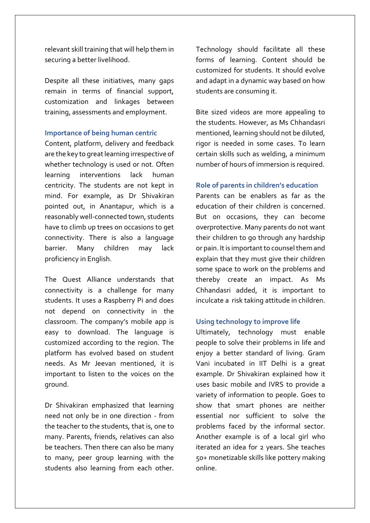relevant skill training that will help them in securing a better livelihood.

Despite all these initiatives, many gaps remain in terms of financial support, customization and linkages between training, assessments and employment.

#### **Importance of being human centric**

Content, platform, delivery and feedback are the key to great learning irrespective of whether technology is used or not. Often learning interventions lack human centricity. The students are not kept in mind. For example, as Dr Shivakiran pointed out, in Anantapur, which is a reasonably well-connected town, students have to climb up trees on occasions to get connectivity. There is also a language barrier. Many children may lack proficiency in English.

The Quest Alliance understands that connectivity is a challenge for many students. It uses a Raspberry Pi and does not depend on connectivity in the classroom. The company's mobile app is easy to download. The language is customized according to the region. The platform has evolved based on student needs. As Mr Jeevan mentioned, it is important to listen to the voices on the ground.

Dr Shivakiran emphasized that learning need not only be in one direction - from the teacher to the students, that is, one to many. Parents, friends, relatives can also be teachers. Then there can also be many to many, peer group learning with the students also learning from each other. Technology should facilitate all these forms of learning. Content should be customized for students. It should evolve and adapt in a dynamic way based on how students are consuming it.

Bite sized videos are more appealing to the students. However, as Ms Chhandasri mentioned, learning should not be diluted, rigor is needed in some cases. To learn certain skills such as welding, a minimum number of hours of immersion is required.

## **Role of parents in children's education**

Parents can be enablers as far as the education of their children is concerned. But on occasions, they can become overprotective. Many parents do not want their children to go through any hardship or pain. It is important to counsel them and explain that they must give their children some space to work on the problems and thereby create an impact. As Ms Chhandasri added, it is important to inculcate a risk taking attitude in children.

#### **Using technology to improve life**

Ultimately, technology must enable people to solve their problems in life and enjoy a better standard of living. Gram Vani incubated in IIT Delhi is a great example. Dr Shivakiran explained how it uses basic mobile and IVRS to provide a variety of information to people. Goes to show that smart phones are neither essential nor sufficient to solve the problems faced by the informal sector. Another example is of a local girl who iterated an idea for 2 years. She teaches 50+ monetizable skills like pottery making online.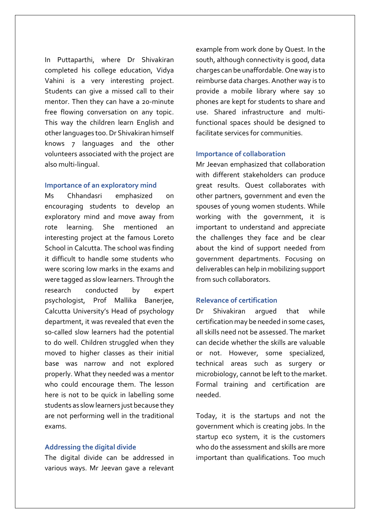In Puttaparthi, where Dr Shivakiran completed his college education, Vidya Vahini is a very interesting project. Students can give a missed call to their mentor. Then they can have a 20-minute free flowing conversation on any topic. This way the children learn English and other languages too. Dr Shivakiran himself knows 7 languages and the other volunteers associated with the project are also multi-lingual.

#### **Importance of an exploratory mind**

Ms Chhandasri emphasized on encouraging students to develop an exploratory mind and move away from rote learning. She mentioned an interesting project at the famous Loreto School in Calcutta. The school was finding it difficult to handle some students who were scoring low marks in the exams and were tagged as slow learners. Through the research conducted by expert psychologist, Prof Mallika Banerjee, Calcutta University's Head of psychology department, it was revealed that even the so-called slow learners had the potential to do well. Children struggled when they moved to higher classes as their initial base was narrow and not explored properly. What they needed was a mentor who could encourage them. The lesson here is not to be quick in labelling some students as slow learners just because they are not performing well in the traditional exams.

#### **Addressing the digital divide**

The digital divide can be addressed in various ways. Mr Jeevan gave a relevant example from work done by Quest. In the south, although connectivity is good, data charges can be unaffordable. One way is to reimburse data charges. Another way is to provide a mobile library where say 10 phones are kept for students to share and use. Shared infrastructure and multifunctional spaces should be designed to facilitate services for communities.

#### **Importance of collaboration**

Mr Jeevan emphasized that collaboration with different stakeholders can produce great results. Quest collaborates with other partners, government and even the spouses of young women students. While working with the government, it is important to understand and appreciate the challenges they face and be clear about the kind of support needed from government departments. Focusing on deliverables can help in mobilizing support from such collaborators.

#### **Relevance of certification**

Dr Shivakiran argued that while certification may be needed in some cases, all skills need not be assessed. The market can decide whether the skills are valuable or not. However, some specialized, technical areas such as surgery or microbiology, cannot be left to the market. Formal training and certification are needed.

Today, it is the startups and not the government which is creating jobs. In the startup eco system, it is the customers who do the assessment and skills are more important than qualifications. Too much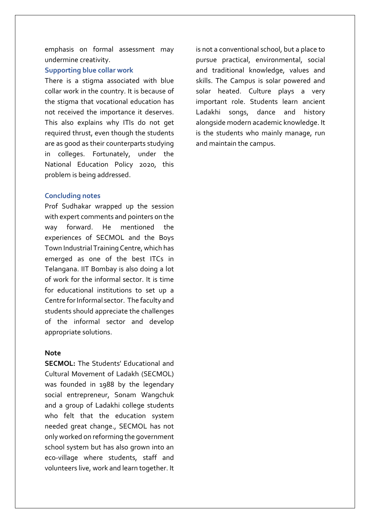emphasis on formal assessment may undermine creativity.

#### **Supporting blue collar work**

There is a stigma associated with blue collar work in the country. It is because of the stigma that vocational education has not received the importance it deserves. This also explains why ITIs do not get required thrust, even though the students are as good as their counterparts studying in colleges. Fortunately, under the National Education Policy 2020, this problem is being addressed.

#### **Concluding notes**

Prof Sudhakar wrapped up the session with expert comments and pointers on the way forward. He mentioned the experiences of SECMOL and the Boys Town Industrial Training Centre, which has emerged as one of the best ITCs in Telangana. IIT Bombay is also doing a lot of work for the informal sector. It is time for educational institutions to set up a Centre for Informal sector. The faculty and students should appreciate the challenges of the informal sector and develop appropriate solutions.

#### **Note**

**SECMOL:** The Students' Educational and Cultural Movement of Ladakh (SECMOL) was founded in 1988 by the legendary social entrepreneur, Sonam Wangchuk and a group of Ladakhi college students who felt that the education system needed great change., SECMOL has not only worked on reforming the government school system but has also grown into an eco-village where students, staff and volunteers live, work and learn together. It is not a conventional school, but a place to pursue practical, environmental, social and traditional knowledge, values and skills. The Campus is solar powered and solar heated. Culture plays a very important role. Students learn ancient Ladakhi songs, dance and history alongside modern academic knowledge. It is the students who mainly manage, run and maintain the campus.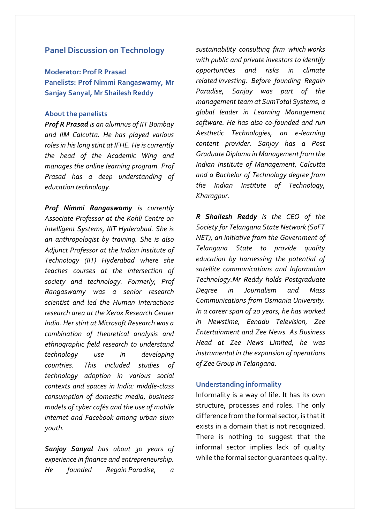## **Panel Discussion on Technology**

**Moderator: Prof R Prasad Panelists: Prof Nimmi Rangaswamy, Mr Sanjay Sanyal, Mr Shailesh Reddy**

#### **About the panelists**

*Prof R Prasad is an alumnus of IIT Bombay and IIM Calcutta. He has played various roles in his long stint at IFHE. He is currently the head of the Academic Wing and manages the online learning program. Prof Prasad has a deep understanding of education technology.*

*Prof Nimmi Rangaswamy is currently Associate Professor at the Kohli Centre on Intelligent Systems, IIIT Hyderabad. She is an anthropologist by training. She is also Adjunct Professor at the Indian institute of Technology (IIT) Hyderabad where she teaches courses at the intersection of society and technology. Formerly, Prof Rangaswamy was a senior research scientist and led the Human Interactions research area at the Xerox Research Center India. Her stint at Microsoft Research was a combination of theoretical analysis and ethnographic field research to understand technology use in developing countries. This included studies of technology adoption in various social contexts and spaces in India: middle-class consumption of domestic media, business models of cyber cafés and the use of mobile internet and Facebook among urban slum youth.*

*Sanjoy Sanyal has about 30 years of experience in finance and entrepreneurship. He founded Regain Paradise, a* 

*sustainability consulting firm which works with public and private investors to identify opportunities and risks in climate related investing. Before founding Regain Paradise, Sanjoy was part of the management team at SumTotal Systems, a global leader in Learning Management software. He has also co-founded and run Aesthetic Technologies, an e-learning content provider. Sanjoy has a Post Graduate Diploma in Management from the Indian Institute of Management, Calcutta and a Bachelor of Technology degree from the Indian Institute of Technology, Kharagpur.*

*R Shailesh Reddy is the CEO of the Society for Telangana State Network (SoFT NET), an initiative from the Government of Telangana State to provide quality education by harnessing the potential of satellite communications and Information Technology.Mr Reddy holds Postgraduate Degree in Journalism and Mass Communications from Osmania University. In a career span of 20 years, he has worked in Newstime, Eenadu Television, Zee Entertainment and Zee News. As Business Head at Zee News Limited, he was instrumental in the expansion of operations of Zee Group in Telangana.*

## **Understanding informality**

Informality is a way of life. It has its own structure, processes and roles. The only difference from the formal sector, is that it exists in a domain that is not recognized. There is nothing to suggest that the informal sector implies lack of quality while the formal sector guarantees quality.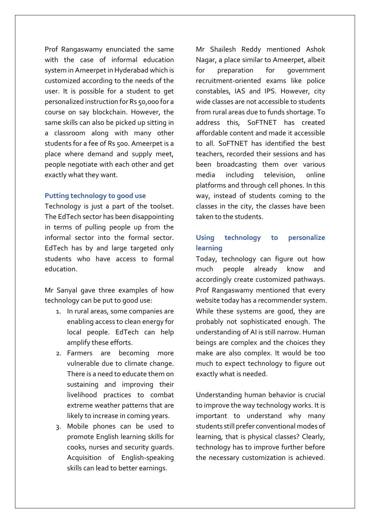Prof Rangaswamy enunciated the same with the case of informal education system in Ameerpet in Hyderabad which is customized according to the needs of the user. It is possible for a student to get personalized instruction for Rs 50,000 for a course on say blockchain. However, the same skills can also be picked up sitting in a classroom along with many other students for a fee of Rs 500. Ameerpet is a place where demand and supply meet, people negotiate with each other and get exactly what they want.

#### **Putting technology to good use**

Technology is just a part of the toolset. The EdTech sector has been disappointing in terms of pulling people up from the informal sector into the formal sector. EdTech has by and large targeted only students who have access to formal education.

Mr Sanyal gave three examples of how technology can be put to good use:

- 1. In rural areas, some companies are enabling access to clean energy for local people. EdTech can help amplify these efforts.
- 2. Farmers are becoming more vulnerable due to climate change. There is a need to educate them on sustaining and improving their livelihood practices to combat extreme weather patterns that are likely to increase in coming years.
- 3. Mobile phones can be used to promote English learning skills for cooks, nurses and security guards. Acquisition of English-speaking skills can lead to better earnings.

Mr Shailesh Reddy mentioned Ashok Nagar, a place similar to Ameerpet, albeit for preparation for government recruitment-oriented exams like police constables, IAS and IPS. However, city wide classes are not accessible to students from rural areas due to funds shortage. To address this, SoFTNET has created affordable content and made it accessible to all. SoFTNET has identified the best teachers, recorded their sessions and has been broadcasting them over various media including television, online platforms and through cell phones. In this way, instead of students coming to the classes in the city, the classes have been taken to the students.

# **Using technology to personalize learning**

Today, technology can figure out how much people already know and accordingly create customized pathways. Prof Rangaswamy mentioned that every website today has a recommender system. While these systems are good, they are probably not sophisticated enough. The understanding of AI is still narrow. Human beings are complex and the choices they make are also complex. It would be too much to expect technology to figure out exactly what is needed.

Understanding human behavior is crucial to improve the way technology works. It is important to understand why many students still prefer conventional modes of learning, that is physical classes? Clearly, technology has to improve further before the necessary customization is achieved.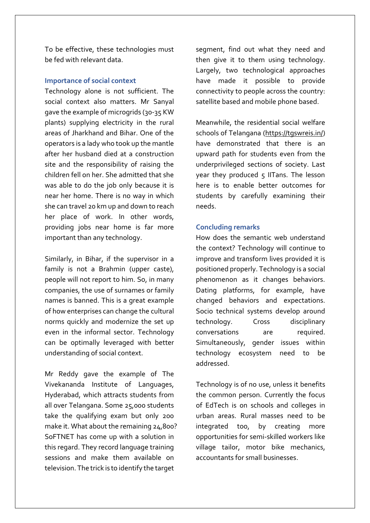To be effective, these technologies must be fed with relevant data.

#### **Importance of social context**

Technology alone is not sufficient. The social context also matters. Mr Sanyal gave the example of microgrids (30-35 KW plants) supplying electricity in the rural areas of Jharkhand and Bihar. One of the operators is a lady who took up the mantle after her husband died at a construction site and the responsibility of raising the children fell on her. She admitted that she was able to do the job only because it is near her home. There is no way in which she can travel 20 km up and down to reach her place of work. In other words, providing jobs near home is far more important than any technology.

Similarly, in Bihar, if the supervisor in a family is not a Brahmin (upper caste), people will not report to him. So, in many companies, the use of surnames or family names is banned. This is a great example of how enterprises can change the cultural norms quickly and modernize the set up even in the informal sector. Technology can be optimally leveraged with better understanding of social context.

Mr Reddy gave the example of The Vivekananda Institute of Languages, Hyderabad, which attracts students from all over Telangana. Some 25,000 students take the qualifying exam but only 200 make it. What about the remaining 24,800? SoFTNET has come up with a solution in this regard. They record language training sessions and make them available on television. The trick is to identify the target

segment, find out what they need and then give it to them using technology. Largely, two technological approaches have made it possible to provide connectivity to people across the country: satellite based and mobile phone based.

Meanwhile, the residential social welfare schools of Telangana [\(https://tgswreis.in/\)](https://tgswreis.in/) have demonstrated that there is an upward path for students even from the underprivileged sections of society. Last year they produced  $5$  IITans. The lesson here is to enable better outcomes for students by carefully examining their needs.

#### **Concluding remarks**

How does the semantic web understand the context? Technology will continue to improve and transform lives provided it is positioned properly. Technology is a social phenomenon as it changes behaviors. Dating platforms, for example, have changed behaviors and expectations. Socio technical systems develop around technology. Cross disciplinary conversations are required. Simultaneously, gender issues within technology ecosystem need to be addressed.

Technology is of no use, unless it benefits the common person. Currently the focus of EdTech is on schools and colleges in urban areas. Rural masses need to be integrated too, by creating more opportunities for semi-skilled workers like village tailor, motor bike mechanics, accountants for small businesses.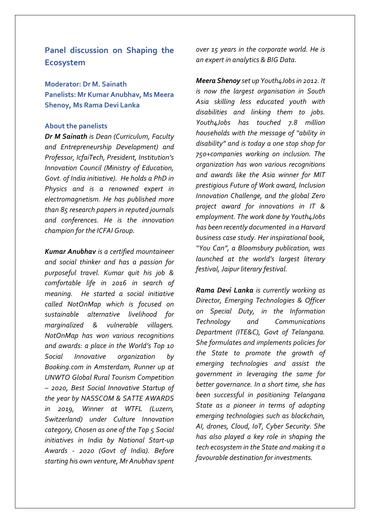**Panel discussion on Shaping the Ecosystem** 

**Moderator: Dr M. Sainath Panelists: Mr Kumar Anubhav, Ms Meera Shenoy, Ms Rama Devi Lanka**

#### **About the panelists**

*Dr M Sainath is Dean (Curriculum, Faculty and Entrepreneurship Development) and Professor, IcfaiTech, President, Institution's Innovation Council (Ministry of Education, Govt. of India initiative). He holds a PhD in Physics and is a renowned expert in electromagnetism. He has published more than 85 research papers in reputed journals and conferences. He is the innovation champion for the ICFAI Group.*

*Kumar Anubhav is a certified mountaineer and social thinker and has a passion for purposeful travel. Kumar quit his job & comfortable life in 2016 in search of meaning. He started a social initiative called NotOnMap which is focused on sustainable alternative livelihood for marginalized & vulnerable villagers. NotOnMap has won various recognitions and awards: a place in the World's Top 10 Social Innovative organization by Booking.com in Amsterdam, Runner up at UNWTO Global Rural Tourism Competition – 2020, Best Social Innovative Startup of the year by NASSCOM & SATTE AWARDS in 2019, Winner at WTFL (Luzern, Switzerland) under Culture Innovation category, Chosen as one of the Top 5 Social initiatives in India by National Start-up Awards - 2020 (Govt of India). Before starting his own venture, Mr Anubhav spent* 

*over 15 years in the corporate world. He is an expert in analytics & BIG Data.*

*Meera Shenoy set up Youth4Jobs in 2012. It is now the largest organisation in South Asia skilling less educated youth with disabilities and linking them to jobs. Youth4Jobs has touched 7.8 million households with the message of "ability in disability" and is today a one stop shop for 750+companies working on inclusion. The organization has won various recognitions and awards like the Asia winner for MIT prestigious Future of Work award, Inclusion Innovation Challenge, and the global Zero project award for innovations in IT & employment. The work done by Youth4Jobs has been recently documented in a Harvard business case study. Her inspirational book, "You Can", a Bloomsbury publication, was launched at the world's largest literary festival, Jaipur literary festival.*

*Rama Devi Lanka is currently working as Director, Emerging Technologies & Officer on Special Duty, in the Information Technology and Communications Department (ITE&C), Govt of Telangana. She formulates and implements policies for the State to promote the growth of emerging technologies and assist the government in leveraging the same for better governance. In a short time, she has been successful in positioning Telangana State as a pioneer in terms of adopting emerging technologies such as blockchain, AI, drones, Cloud, IoT, Cyber Security. She has also played a key role in shaping the tech ecosystem in the State and making it a favourable destination for investments.*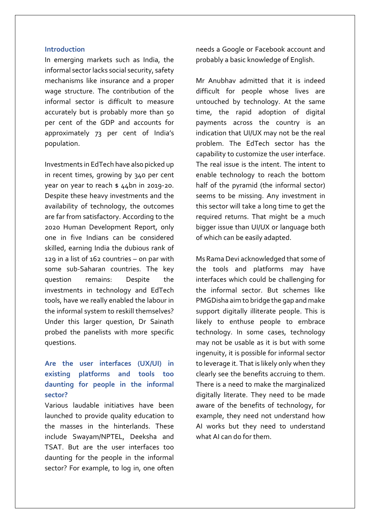#### **Introduction**

In emerging markets such as India, the informal sector lacks social security, safety mechanisms like insurance and a proper wage structure. The contribution of the informal sector is difficult to measure accurately but is probably more than 50 per cent of the GDP and accounts for approximately 73 per cent of India's population.

Investments in EdTech have also picked up in recent times, growing by 340 per cent year on year to reach \$ 44bn in 2019-20. Despite these heavy investments and the availability of technology, the outcomes are far from satisfactory. According to the 2020 Human Development Report, only one in five Indians can be considered skilled, earning India the dubious rank of 129 in a list of 162 countries – on par with some sub-Saharan countries. The key question remains: Despite the investments in technology and EdTech tools, have we really enabled the labour in the informal system to reskill themselves? Under this larger question, Dr Sainath probed the panelists with more specific questions.

# **Are the user interfaces (UX/UI) in existing platforms and tools too daunting for people in the informal sector?**

Various laudable initiatives have been launched to provide quality education to the masses in the hinterlands. These include Swayam/NPTEL, Deeksha and TSAT. But are the user interfaces too daunting for the people in the informal sector? For example, to log in, one often needs a Google or Facebook account and probably a basic knowledge of English.

Mr Anubhav admitted that it is indeed difficult for people whose lives are untouched by technology. At the same time, the rapid adoption of digital payments across the country is an indication that UI/UX may not be the real problem. The EdTech sector has the capability to customize the user interface. The real issue is the intent. The intent to enable technology to reach the bottom half of the pyramid (the informal sector) seems to be missing. Any investment in this sector will take a long time to get the required returns. That might be a much bigger issue than UI/UX or language both of which can be easily adapted.

Ms Rama Devi acknowledged that some of the tools and platforms may have interfaces which could be challenging for the informal sector. But schemes like PMGDisha aim to bridge the gap and make support digitally illiterate people. This is likely to enthuse people to embrace technology. In some cases, technology may not be usable as it is but with some ingenuity, it is possible for informal sector to leverage it. That is likely only when they clearly see the benefits accruing to them. There is a need to make the marginalized digitally literate. They need to be made aware of the benefits of technology, for example, they need not understand how AI works but they need to understand what AI can do for them.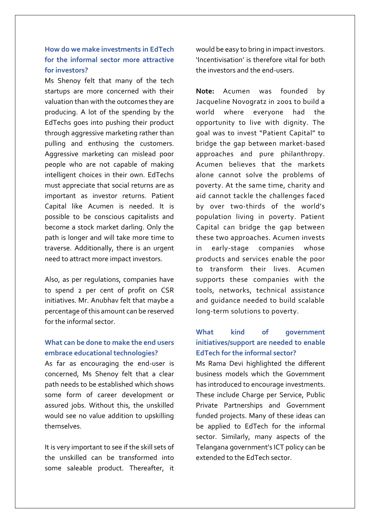# **How do we make investments in EdTech for the informal sector more attractive for investors?**

Ms Shenoy felt that many of the tech startups are more concerned with their valuation than with the outcomes they are producing. A lot of the spending by the EdTechs goes into pushing their product through aggressive marketing rather than pulling and enthusing the customers. Aggressive marketing can mislead poor people who are not capable of making intelligent choices in their own. EdTechs must appreciate that social returns are as important as investor returns. Patient Capital like Acumen is needed. It is possible to be conscious capitalists and become a stock market darling. Only the path is longer and will take more time to traverse. Additionally, there is an urgent need to attract more impact investors.

Also, as per regulations, companies have to spend 2 per cent of profit on CSR initiatives. Mr. Anubhav felt that maybe a percentage of this amount can be reserved for the informal sector.

# **What can be done to make the end users embrace educational technologies?**

As far as encouraging the end-user is concerned, Ms Shenoy felt that a clear path needs to be established which shows some form of career development or assured jobs. Without this, the unskilled would see no value addition to upskilling themselves.

It is very important to see if the skill sets of the unskilled can be transformed into some saleable product. Thereafter, it

would be easy to bring in impact investors. 'Incentivisation' is therefore vital for both the investors and the end-users.

**Note:** Acumen was founded by Jacqueline Novogratz in 2001 to build a world where everyone had the opportunity to live with dignity. The goal was to invest "Patient Capital" to bridge the gap between market-based approaches and pure philanthropy. Acumen believes that the markets alone cannot solve the problems of poverty. At the same time, charity and aid cannot tackle the challenges faced by over two-thirds of the world's population living in poverty. Patient Capital can bridge the gap between these two approaches. Acumen invests in early-stage companies whose products and services enable the poor to transform their lives. Acumen supports these companies with the tools, networks, technical assistance and guidance needed to build scalable long-term solutions to poverty.

# **What kind of government initiatives/support are needed to enable EdTech for the informal sector?**

Ms Rama Devi highlighted the different business models which the Government has introduced to encourage investments. These include Charge per Service, Public Private Partnerships and Government funded projects. Many of these ideas can be applied to EdTech for the informal sector. Similarly, many aspects of the Telangana government's ICT policy can be extended to the EdTech sector.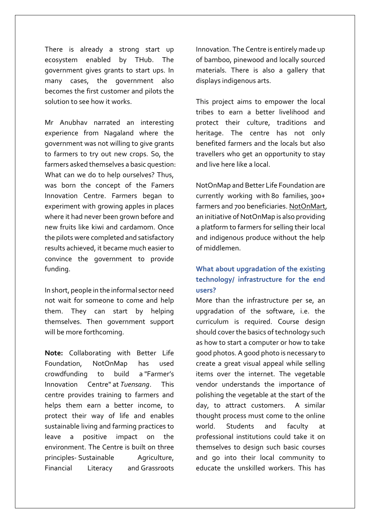There is already a strong start up ecosystem enabled by THub. The government gives grants to start ups. In many cases, the government also becomes the first customer and pilots the solution to see how it works.

Mr Anubhav narrated an interesting experience from Nagaland where the government was not willing to give grants to farmers to try out new crops. So, the farmers asked themselves a basic question: What can we do to help ourselves? Thus, was born the concept of the Famers Innovation Centre. Farmers began to experiment with growing apples in places where it had never been grown before and new fruits like kiwi and cardamom. Once the pilots were completed and satisfactory results achieved, it became much easier to convince the government to provide funding.

In short, people in the informal sector need not wait for someone to come and help them. They can start by helping themselves. Then government support will be more forthcoming.

**Note:** Collaborating with Better Life Foundation, NotOnMap has used crowdfunding to build a "Farmer's Innovation Centre" at *Tuensang*. This centre provides training to farmers and helps them earn a better income, to protect their way of life and enables sustainable living and farming practices to leave a positive impact on the environment. The Centre is built on three principles- Sustainable Agriculture, Financial Literacy and Grassroots Innovation. The Centre is entirely made up of bamboo, pinewood and locally sourced materials. There is also a gallery that displays indigenous arts.

This project aims to empower the local tribes to earn a better livelihood and protect their culture, traditions and heritage. The centre has not only benefited farmers and the locals but also travellers who get an opportunity to stay and live here like a local.

NotOnMap and Better Life Foundation are currently working with 80 families, 300+ farmers and 700 beneficiaries. [NotOnMart,](https://notonmap.com/impact/notonmart.com) an initiative of NotOnMap is also providing a platform to farmers for selling their local and indigenous produce without the help of middlemen.

# **What about upgradation of the existing technology/ infrastructure for the end users?**

More than the infrastructure per se, an upgradation of the software, i.e. the curriculum is required. Course design should cover the basics of technology such as how to start a computer or how to take good photos. A good photo is necessary to create a great visual appeal while selling items over the internet. The vegetable vendor understands the importance of polishing the vegetable at the start of the day, to attract customers. A similar thought process must come to the online world. Students and faculty at professional institutions could take it on themselves to design such basic courses and go into their local community to educate the unskilled workers. This has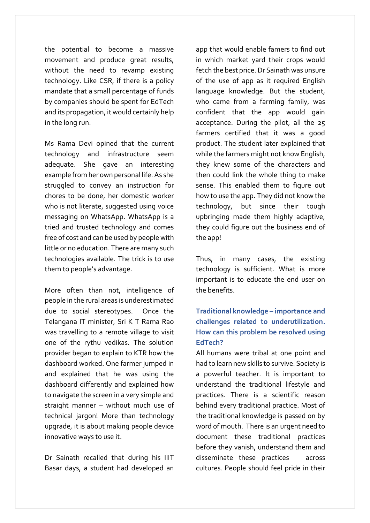the potential to become a massive movement and produce great results, without the need to revamp existing technology. Like CSR, if there is a policy mandate that a small percentage of funds by companies should be spent for EdTech and its propagation, it would certainly help in the long run.

Ms Rama Devi opined that the current technology and infrastructure seem adequate. She gave an interesting example from her own personal life. As she struggled to convey an instruction for chores to be done, her domestic worker who is not literate, suggested using voice messaging on WhatsApp. WhatsApp is a tried and trusted technology and comes free of cost and can be used by people with little or no education. There are many such technologies available. The trick is to use them to people's advantage.

More often than not, intelligence of people in the rural areas is underestimated due to social stereotypes. Once the Telangana IT minister, Sri K T Rama Rao was travelling to a remote village to visit one of the rythu vedikas. The solution provider began to explain to KTR how the dashboard worked. One farmer jumped in and explained that he was using the dashboard differently and explained how to navigate the screen in a very simple and straight manner – without much use of technical jargon! More than technology upgrade, it is about making people device innovative ways to use it.

Dr Sainath recalled that during his IIIT Basar days, a student had developed an

app that would enable famers to find out in which market yard their crops would fetch the best price. Dr Sainath was unsure of the use of app as it required English language knowledge. But the student, who came from a farming family, was confident that the app would gain acceptance. During the pilot, all the 25 farmers certified that it was a good product. The student later explained that while the farmers might not know English, they knew some of the characters and then could link the whole thing to make sense. This enabled them to figure out how to use the app. They did not know the technology, but since their tough upbringing made them highly adaptive, they could figure out the business end of the app!

Thus, in many cases, the existing technology is sufficient. What is more important is to educate the end user on the benefits.

# **Traditional knowledge – importance and challenges related to underutilization. How can this problem be resolved using EdTech?**

All humans were tribal at one point and had to learn new skills to survive. Society is a powerful teacher. It is important to understand the traditional lifestyle and practices. There is a scientific reason behind every traditional practice. Most of the traditional knowledge is passed on by word of mouth. There is an urgent need to document these traditional practices before they vanish, understand them and disseminate these practices across cultures. People should feel pride in their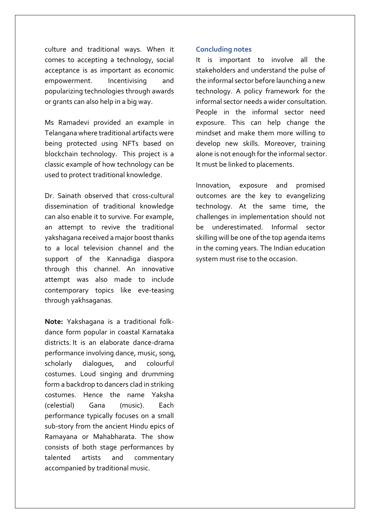culture and traditional ways. When it comes to accepting a technology, social acceptance is as important as economic empowerment. Incentivising and popularizing technologies through awards or grants can also help in a big way.

Ms Ramadevi provided an example in Telangana where traditional artifacts were being protected using NFTs based on blockchain technology. This project is a classic example of how technology can be used to protect traditional knowledge.

Dr. Sainath observed that cross-cultural dissemination of traditional knowledge can also enable it to survive. For example, an attempt to revive the traditional yakshagana received a major boost thanks to a local television channel and the support of the Kannadiga diaspora through this channel. An innovative attempt was also made to include contemporary topics like eve-teasing through yakhsaganas.

**Note:** Yakshagana is a traditional folkdance form popular in coastal Karnataka districts. It is an elaborate dance-drama performance involving dance, music, song, scholarly dialogues, and colourful costumes. Loud singing and drumming form a backdrop to dancers clad in striking costumes. Hence the name Yaksha (celestial) Gana (music). Each performance typically focuses on a small sub-story from the ancient Hindu epics of Ramayana or Mahabharata. The show consists of both stage performances by talented artists and commentary accompanied by traditional music.

#### **Concluding notes**

It is important to involve all the stakeholders and understand the pulse of the informal sector before launching a new technology. A policy framework for the informal sector needs a wider consultation. People in the informal sector need exposure. This can help change the mindset and make them more willing to develop new skills. Moreover, training alone is not enough for the informal sector. It must be linked to placements.

Innovation, exposure and promised outcomes are the key to evangelizing technology. At the same time, the challenges in implementation should not be underestimated. Informal sector skilling will be one of the top agenda items in the coming years. The Indian education system must rise to the occasion.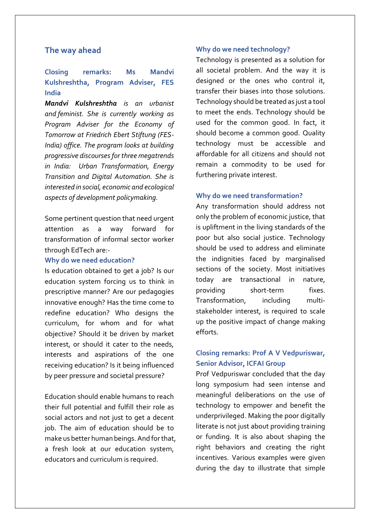## **The way ahead**

# **Closing remarks: Ms Mandvi Kulshreshtha, Program Adviser, FES India**

*Mandvi Kulshreshtha is an urbanist and feminist. She is currently working as Program Adviser for the Economy of Tomorrow at Friedrich Ebert Stiftung (FES-India) office. The program looks at building progressive discourses for three megatrends in India: Urban Transformation, Energy Transition and Digital Automation. She is interested in social, economic and ecological aspects of development policymaking.*

Some pertinent question that need urgent attention as a way forward for transformation of informal sector worker through EdTech are:-

#### **Why do we need education?**

Is education obtained to get a job? Is our education system forcing us to think in prescriptive manner? Are our pedagogies innovative enough? Has the time come to redefine education? Who designs the curriculum, for whom and for what objective? Should it be driven by market interest, or should it cater to the needs, interests and aspirations of the one receiving education? Is it being influenced by peer pressure and societal pressure?

Education should enable humans to reach their full potential and fulfill their role as social actors and not just to get a decent job. The aim of education should be to make us better human beings. And for that, a fresh look at our education system, educators and curriculum is required.

#### **Why do we need technology?**

Technology is presented as a solution for all societal problem. And the way it is designed or the ones who control it, transfer their biases into those solutions. Technology should be treated as just a tool to meet the ends. Technology should be used for the common good. In fact, it should become a common good. Quality technology must be accessible and affordable for all citizens and should not remain a commodity to be used for furthering private interest.

#### **Why do we need transformation?**

Any transformation should address not only the problem of economic justice, that is upliftment in the living standards of the poor but also social justice. Technology should be used to address and eliminate the indignities faced by marginalised sections of the society. Most initiatives today are transactional in nature, providing short-term fixes. Transformation, including multistakeholder interest, is required to scale up the positive impact of change making efforts.

## **Closing remarks: Prof A V Vedpuriswar, Senior Advisor, ICFAI Group**

Prof Vedpuriswar concluded that the day long symposium had seen intense and meaningful deliberations on the use of technology to empower and benefit the underprivileged. Making the poor digitally literate is not just about providing training or funding. It is also about shaping the right behaviors and creating the right incentives. Various examples were given during the day to illustrate that simple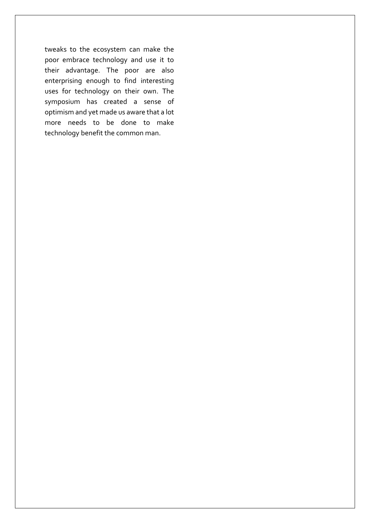tweaks to the ecosystem can make the poor embrace technology and use it to their advantage. The poor are also enterprising enough to find interesting uses for technology on their own. The symposium has created a sense of optimism and yet made us aware that a lot more needs to be done to make technology benefit the common man.